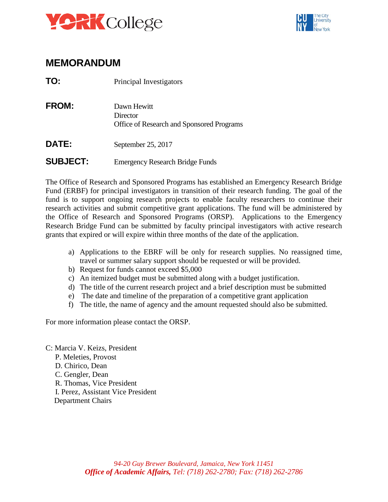



## **MEMORANDUM**

| TO: | Principal Investigators |
|-----|-------------------------|
|-----|-------------------------|

**FROM: Dawn Hewitt Director** Office of Research and Sponsored Programs

DATE: September 25, 2017

## ••••••••••••••••••••••••••••••••••••••••••••••••••••••••••••••••••••••••••••••• **SUBJECT:** Emergency Research Bridge Funds

 The Office of Research and Sponsored Programs has established an Emergency Research Bridge Fund (ERBF) for principal investigators in transition of their research funding. The goal of the fund is to support ongoing research projects to enable faculty researchers to continue their research activities and submit competitive grant applications. The fund will be administered by the Office of Research and Sponsored Programs (ORSP). Applications to the Emergency Research Bridge Fund can be submitted by faculty principal investigators with active research grants that expired or will expire within three months of the date of the application.

- a) Applications to the EBRF will be only for research supplies. No reassigned time, travel or summer salary support should be requested or will be provided.
- b) Request for funds cannot exceed \$5,000
- c) An itemized budget must be submitted along with a budget justification.
- d) The title of the current research project and a brief description must be submitted
- e) The date and timeline of the preparation of a competitive grant application
- f) The title, the name of agency and the amount requested should also be submitted.

For more information please contact the ORSP.

C: Marcia V. Keizs, President P. Meleties, Provost D. Chirico, Dean C. Gengler, Dean R. Thomas, Vice President I. Perez, Assistant Vice President Department Chairs